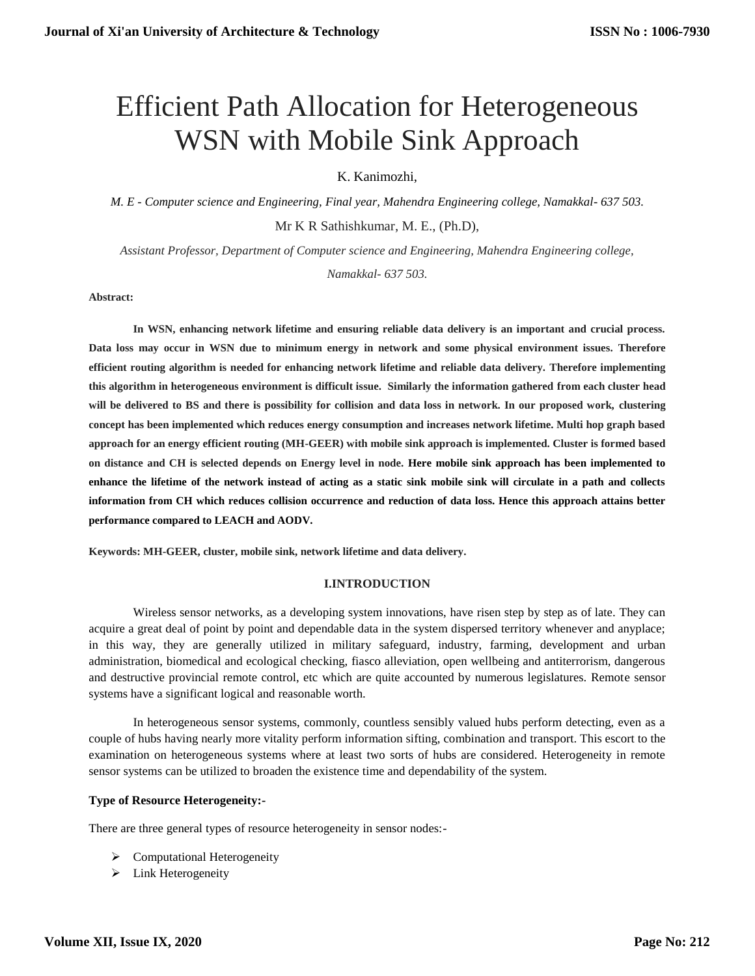# Efficient Path Allocation for Heterogeneous WSN with Mobile Sink Approach

K. Kanimozhi,

*M. E - Computer science and Engineering, Final year, Mahendra Engineering college, Namakkal- 637 503.* Mr K R Sathishkumar, M. E., (Ph.D),

*Assistant Professor, Department of Computer science and Engineering, Mahendra Engineering college, Namakkal- 637 503.*

**Abstract:** 

**In WSN, enhancing network lifetime and ensuring reliable data delivery is an important and crucial process. Data loss may occur in WSN due to minimum energy in network and some physical environment issues. Therefore efficient routing algorithm is needed for enhancing network lifetime and reliable data delivery. Therefore implementing this algorithm in heterogeneous environment is difficult issue. Similarly the information gathered from each cluster head will be delivered to BS and there is possibility for collision and data loss in network. In our proposed work, clustering concept has been implemented which reduces energy consumption and increases network lifetime. Multi hop graph based approach for an energy efficient routing (MH-GEER) with mobile sink approach is implemented. Cluster is formed based on distance and CH is selected depends on Energy level in node. Here mobile sink approach has been implemented to enhance the lifetime of the network instead of acting as a static sink mobile sink will circulate in a path and collects information from CH which reduces collision occurrence and reduction of data loss. Hence this approach attains better performance compared to LEACH and AODV.** 

**Keywords: MH-GEER, cluster, mobile sink, network lifetime and data delivery.**

#### **I.INTRODUCTION**

Wireless sensor networks, as a developing system innovations, have risen step by step as of late. They can acquire a great deal of point by point and dependable data in the system dispersed territory whenever and anyplace; in this way, they are generally utilized in military safeguard, industry, farming, development and urban administration, biomedical and ecological checking, fiasco alleviation, open wellbeing and antiterrorism, dangerous and destructive provincial remote control, etc which are quite accounted by numerous legislatures. Remote sensor systems have a significant logical and reasonable worth.

In heterogeneous sensor systems, commonly, countless sensibly valued hubs perform detecting, even as a couple of hubs having nearly more vitality perform information sifting, combination and transport. This escort to the examination on heterogeneous systems where at least two sorts of hubs are considered. Heterogeneity in remote sensor systems can be utilized to broaden the existence time and dependability of the system.

# **Type of Resource Heterogeneity:-**

There are three general types of resource heterogeneity in sensor nodes:-

- > Computational Heterogeneity
- > Link Heterogeneity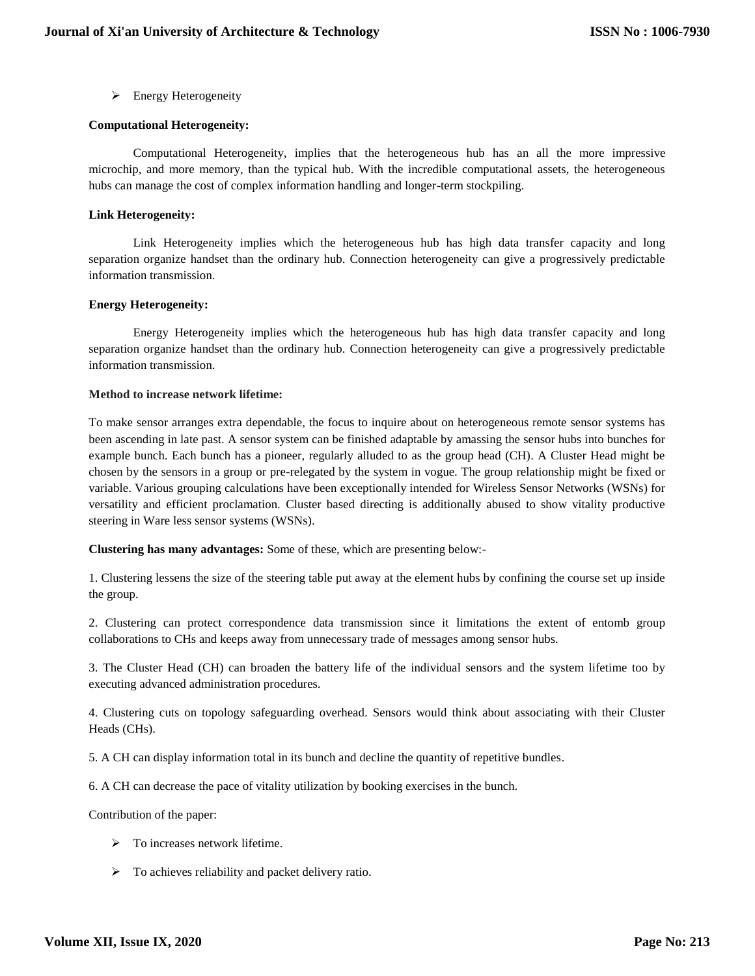Energy Heterogeneity

## **Computational Heterogeneity:**

Computational Heterogeneity, implies that the heterogeneous hub has an all the more impressive microchip, and more memory, than the typical hub. With the incredible computational assets, the heterogeneous hubs can manage the cost of complex information handling and longer-term stockpiling.

## **Link Heterogeneity:**

Link Heterogeneity implies which the heterogeneous hub has high data transfer capacity and long separation organize handset than the ordinary hub. Connection heterogeneity can give a progressively predictable information transmission.

## **Energy Heterogeneity:**

Energy Heterogeneity implies which the heterogeneous hub has high data transfer capacity and long separation organize handset than the ordinary hub. Connection heterogeneity can give a progressively predictable information transmission.

#### **Method to increase network lifetime:**

To make sensor arranges extra dependable, the focus to inquire about on heterogeneous remote sensor systems has been ascending in late past. A sensor system can be finished adaptable by amassing the sensor hubs into bunches for example bunch. Each bunch has a pioneer, regularly alluded to as the group head (CH). A Cluster Head might be chosen by the sensors in a group or pre-relegated by the system in vogue. The group relationship might be fixed or variable. Various grouping calculations have been exceptionally intended for Wireless Sensor Networks (WSNs) for versatility and efficient proclamation. Cluster based directing is additionally abused to show vitality productive steering in Ware less sensor systems (WSNs).

**Clustering has many advantages:** Some of these, which are presenting below:-

1. Clustering lessens the size of the steering table put away at the element hubs by confining the course set up inside the group.

2. Clustering can protect correspondence data transmission since it limitations the extent of entomb group collaborations to CHs and keeps away from unnecessary trade of messages among sensor hubs.

3. The Cluster Head (CH) can broaden the battery life of the individual sensors and the system lifetime too by executing advanced administration procedures.

4. Clustering cuts on topology safeguarding overhead. Sensors would think about associating with their Cluster Heads (CHs).

5. A CH can display information total in its bunch and decline the quantity of repetitive bundles.

6. A CH can decrease the pace of vitality utilization by booking exercises in the bunch.

Contribution of the paper:

- $\triangleright$  To increases network lifetime.
- $\triangleright$  To achieves reliability and packet delivery ratio.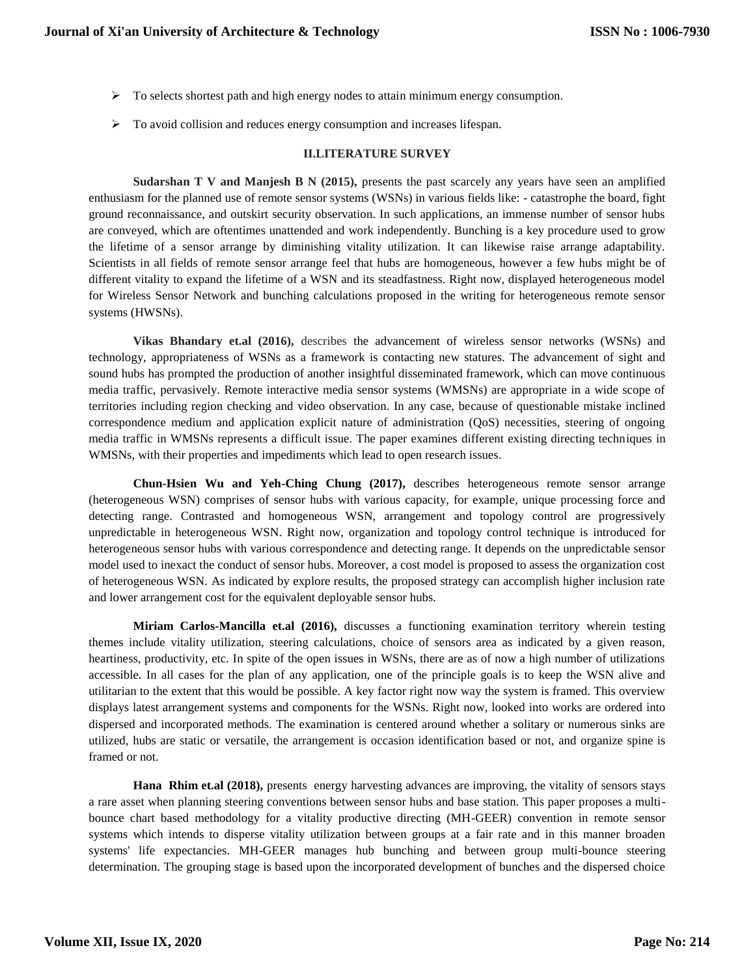- $\triangleright$  To selects shortest path and high energy nodes to attain minimum energy consumption.
- $\triangleright$  To avoid collision and reduces energy consumption and increases lifespan.

## **II.LITERATURE SURVEY**

**Sudarshan T V and Manjesh B N (2015),** presents the past scarcely any years have seen an amplified enthusiasm for the planned use of remote sensor systems (WSNs) in various fields like: - catastrophe the board, fight ground reconnaissance, and outskirt security observation. In such applications, an immense number of sensor hubs are conveyed, which are oftentimes unattended and work independently. Bunching is a key procedure used to grow the lifetime of a sensor arrange by diminishing vitality utilization. It can likewise raise arrange adaptability. Scientists in all fields of remote sensor arrange feel that hubs are homogeneous, however a few hubs might be of different vitality to expand the lifetime of a WSN and its steadfastness. Right now, displayed heterogeneous model for Wireless Sensor Network and bunching calculations proposed in the writing for heterogeneous remote sensor systems (HWSNs).

**Vikas Bhandary et.al (2016),** describes the advancement of wireless sensor networks (WSNs) and technology, appropriateness of WSNs as a framework is contacting new statures. The advancement of sight and sound hubs has prompted the production of another insightful disseminated framework, which can move continuous media traffic, pervasively. Remote interactive media sensor systems (WMSNs) are appropriate in a wide scope of territories including region checking and video observation. In any case, because of questionable mistake inclined correspondence medium and application explicit nature of administration (QoS) necessities, steering of ongoing media traffic in WMSNs represents a difficult issue. The paper examines different existing directing techniques in WMSNs, with their properties and impediments which lead to open research issues.

**Chun-Hsien Wu and Yeh-Ching Chung (2017),** describes heterogeneous remote sensor arrange (heterogeneous WSN) comprises of sensor hubs with various capacity, for example, unique processing force and detecting range. Contrasted and homogeneous WSN, arrangement and topology control are progressively unpredictable in heterogeneous WSN. Right now, organization and topology control technique is introduced for heterogeneous sensor hubs with various correspondence and detecting range. It depends on the unpredictable sensor model used to inexact the conduct of sensor hubs. Moreover, a cost model is proposed to assess the organization cost of heterogeneous WSN. As indicated by explore results, the proposed strategy can accomplish higher inclusion rate and lower arrangement cost for the equivalent deployable sensor hubs.

**Miriam Carlos-Mancilla et.al (2016),** discusses a functioning examination territory wherein testing themes include vitality utilization, steering calculations, choice of sensors area as indicated by a given reason, heartiness, productivity, etc. In spite of the open issues in WSNs, there are as of now a high number of utilizations accessible. In all cases for the plan of any application, one of the principle goals is to keep the WSN alive and utilitarian to the extent that this would be possible. A key factor right now way the system is framed. This overview displays latest arrangement systems and components for the WSNs. Right now, looked into works are ordered into dispersed and incorporated methods. The examination is centered around whether a solitary or numerous sinks are utilized, hubs are static or versatile, the arrangement is occasion identification based or not, and organize spine is framed or not.

**Hana Rhim et.al (2018),** presents energy harvesting advances are improving, the vitality of sensors stays a rare asset when planning steering conventions between sensor hubs and base station. This paper proposes a multibounce chart based methodology for a vitality productive directing (MH-GEER) convention in remote sensor systems which intends to disperse vitality utilization between groups at a fair rate and in this manner broaden systems' life expectancies. MH-GEER manages hub bunching and between group multi-bounce steering determination. The grouping stage is based upon the incorporated development of bunches and the dispersed choice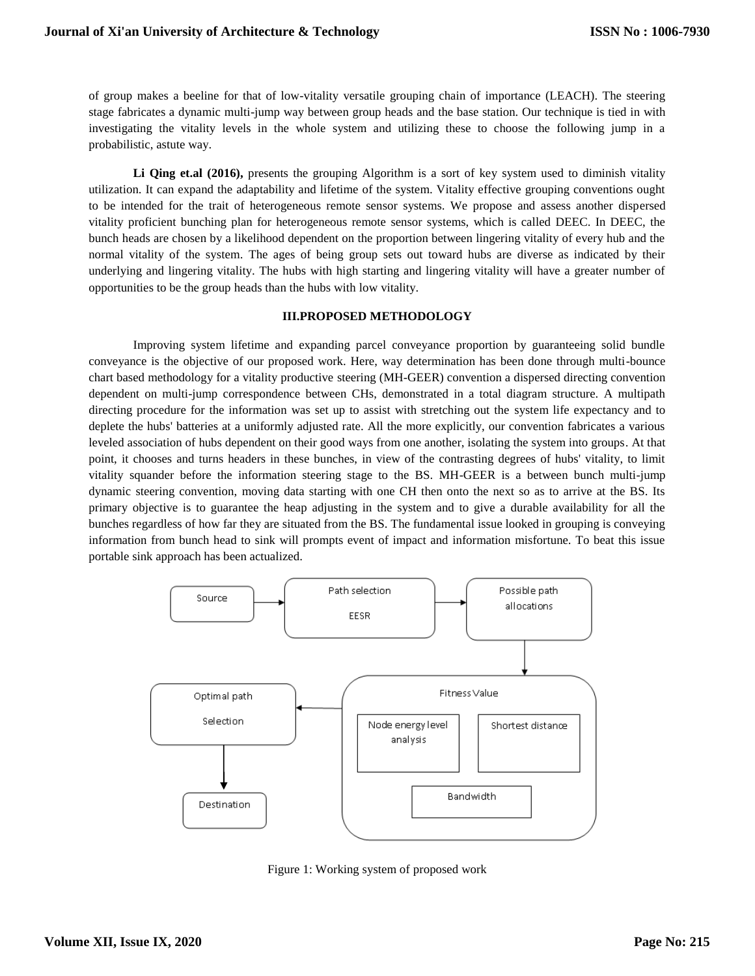of group makes a beeline for that of low-vitality versatile grouping chain of importance (LEACH). The steering stage fabricates a dynamic multi-jump way between group heads and the base station. Our technique is tied in with investigating the vitality levels in the whole system and utilizing these to choose the following jump in a probabilistic, astute way.

Li Qing et.al (2016), presents the grouping Algorithm is a sort of key system used to diminish vitality utilization. It can expand the adaptability and lifetime of the system. Vitality effective grouping conventions ought to be intended for the trait of heterogeneous remote sensor systems. We propose and assess another dispersed vitality proficient bunching plan for heterogeneous remote sensor systems, which is called DEEC. In DEEC, the bunch heads are chosen by a likelihood dependent on the proportion between lingering vitality of every hub and the normal vitality of the system. The ages of being group sets out toward hubs are diverse as indicated by their underlying and lingering vitality. The hubs with high starting and lingering vitality will have a greater number of opportunities to be the group heads than the hubs with low vitality.

#### **III.PROPOSED METHODOLOGY**

Improving system lifetime and expanding parcel conveyance proportion by guaranteeing solid bundle conveyance is the objective of our proposed work. Here, way determination has been done through multi-bounce chart based methodology for a vitality productive steering (MH-GEER) convention a dispersed directing convention dependent on multi-jump correspondence between CHs, demonstrated in a total diagram structure. A multipath directing procedure for the information was set up to assist with stretching out the system life expectancy and to deplete the hubs' batteries at a uniformly adjusted rate. All the more explicitly, our convention fabricates a various leveled association of hubs dependent on their good ways from one another, isolating the system into groups. At that point, it chooses and turns headers in these bunches, in view of the contrasting degrees of hubs' vitality, to limit vitality squander before the information steering stage to the BS. MH-GEER is a between bunch multi-jump dynamic steering convention, moving data starting with one CH then onto the next so as to arrive at the BS. Its primary objective is to guarantee the heap adjusting in the system and to give a durable availability for all the bunches regardless of how far they are situated from the BS. The fundamental issue looked in grouping is conveying information from bunch head to sink will prompts event of impact and information misfortune. To beat this issue portable sink approach has been actualized.



Figure 1: Working system of proposed work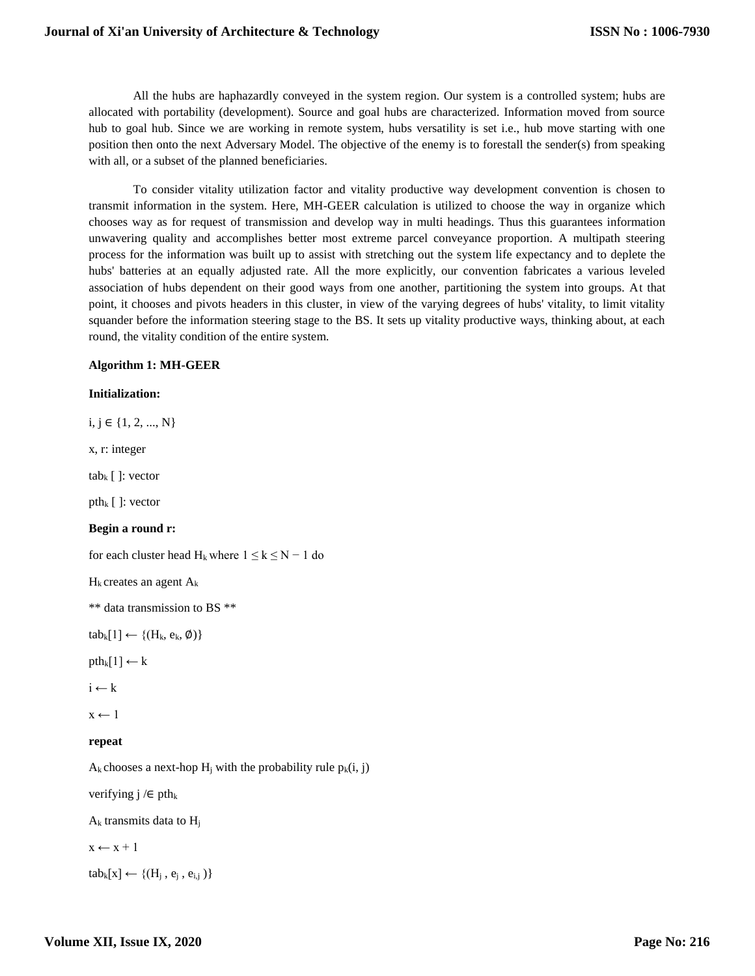# **Journal of Xi'an University of Architecture & Technology**

All the hubs are haphazardly conveyed in the system region. Our system is a controlled system; hubs are allocated with portability (development). Source and goal hubs are characterized. Information moved from source hub to goal hub. Since we are working in remote system, hubs versatility is set i.e., hub move starting with one position then onto the next Adversary Model. The objective of the enemy is to forestall the sender(s) from speaking with all, or a subset of the planned beneficiaries.

To consider vitality utilization factor and vitality productive way development convention is chosen to transmit information in the system. Here, MH-GEER calculation is utilized to choose the way in organize which chooses way as for request of transmission and develop way in multi headings. Thus this guarantees information unwavering quality and accomplishes better most extreme parcel conveyance proportion. A multipath steering process for the information was built up to assist with stretching out the system life expectancy and to deplete the hubs' batteries at an equally adjusted rate. All the more explicitly, our convention fabricates a various leveled association of hubs dependent on their good ways from one another, partitioning the system into groups. At that point, it chooses and pivots headers in this cluster, in view of the varying degrees of hubs' vitality, to limit vitality squander before the information steering stage to the BS. It sets up vitality productive ways, thinking about, at each round, the vitality condition of the entire system.

## **Algorithm 1: MH-GEER**

#### **Initialization:**

i, j ∈ {1, 2, ..., N} x, r: integer tab<sub>k</sub>  $\lceil$  : vector pth<sub>k</sub>  $[$  ]: vector **Begin a round r:** for each cluster head  $H_k$  where  $1 \le k \le N - 1$  do  $H_k$  creates an agent  $A_k$ \*\* data transmission to BS \*\*  $tab_k[1] \leftarrow \{(H_k, e_k, \emptyset)\}$  $pth_k[1] \leftarrow k$  $i \leftarrow k$  $x \leftarrow 1$ **repeat**  $A_k$  chooses a next-hop  $H_i$  with the probability rule  $p_k(i, j)$ verifying j  $\ell \in$  pth<sub>k</sub>

 $A_k$  transmits data to  $H_i$ 

 $x \leftarrow x + 1$ 

 $tab_k[x] \leftarrow \{(H_i, e_i, e_{i,j})\}$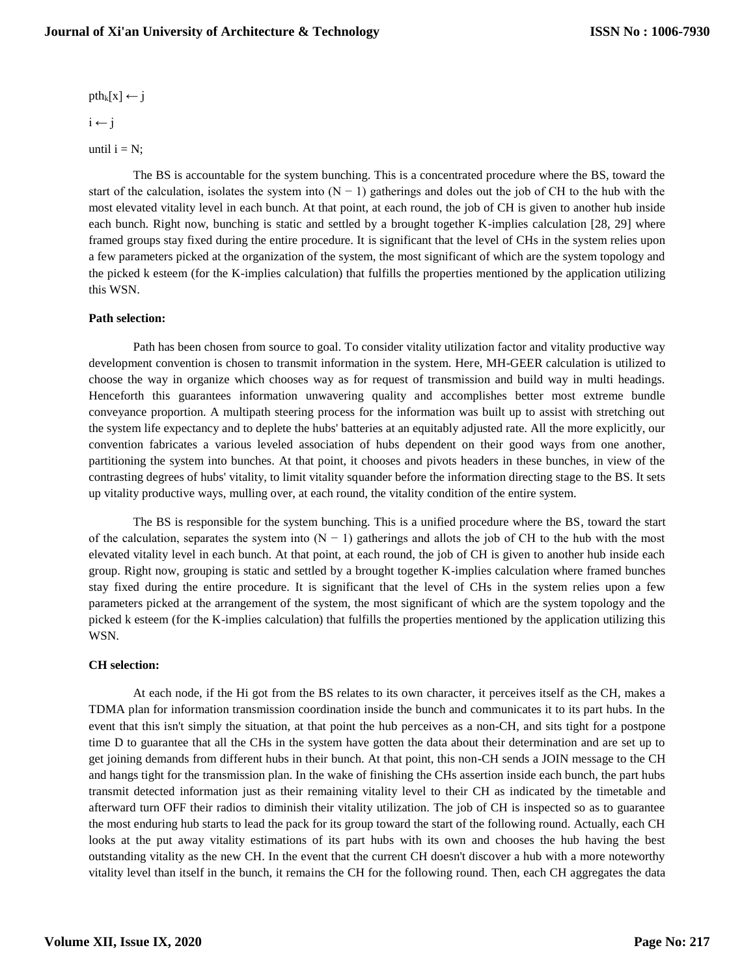# **Journal of Xi'an University of Architecture & Technology**

 $pth_k[x] \leftarrow j$ 

 $i \leftarrow j$ 

until  $i = N$ ;

The BS is accountable for the system bunching. This is a concentrated procedure where the BS, toward the start of the calculation, isolates the system into  $(N - 1)$  gatherings and doles out the job of CH to the hub with the most elevated vitality level in each bunch. At that point, at each round, the job of CH is given to another hub inside each bunch. Right now, bunching is static and settled by a brought together K-implies calculation [28, 29] where framed groups stay fixed during the entire procedure. It is significant that the level of CHs in the system relies upon a few parameters picked at the organization of the system, the most significant of which are the system topology and the picked k esteem (for the K-implies calculation) that fulfills the properties mentioned by the application utilizing this WSN.

## **Path selection:**

Path has been chosen from source to goal. To consider vitality utilization factor and vitality productive way development convention is chosen to transmit information in the system. Here, MH-GEER calculation is utilized to choose the way in organize which chooses way as for request of transmission and build way in multi headings. Henceforth this guarantees information unwavering quality and accomplishes better most extreme bundle conveyance proportion. A multipath steering process for the information was built up to assist with stretching out the system life expectancy and to deplete the hubs' batteries at an equitably adjusted rate. All the more explicitly, our convention fabricates a various leveled association of hubs dependent on their good ways from one another, partitioning the system into bunches. At that point, it chooses and pivots headers in these bunches, in view of the contrasting degrees of hubs' vitality, to limit vitality squander before the information directing stage to the BS. It sets up vitality productive ways, mulling over, at each round, the vitality condition of the entire system.

The BS is responsible for the system bunching. This is a unified procedure where the BS, toward the start of the calculation, separates the system into  $(N - 1)$  gatherings and allots the job of CH to the hub with the most elevated vitality level in each bunch. At that point, at each round, the job of CH is given to another hub inside each group. Right now, grouping is static and settled by a brought together K-implies calculation where framed bunches stay fixed during the entire procedure. It is significant that the level of CHs in the system relies upon a few parameters picked at the arrangement of the system, the most significant of which are the system topology and the picked k esteem (for the K-implies calculation) that fulfills the properties mentioned by the application utilizing this WSN.

# **CH selection:**

At each node, if the Hi got from the BS relates to its own character, it perceives itself as the CH, makes a TDMA plan for information transmission coordination inside the bunch and communicates it to its part hubs. In the event that this isn't simply the situation, at that point the hub perceives as a non-CH, and sits tight for a postpone time D to guarantee that all the CHs in the system have gotten the data about their determination and are set up to get joining demands from different hubs in their bunch. At that point, this non-CH sends a JOIN message to the CH and hangs tight for the transmission plan. In the wake of finishing the CHs assertion inside each bunch, the part hubs transmit detected information just as their remaining vitality level to their CH as indicated by the timetable and afterward turn OFF their radios to diminish their vitality utilization. The job of CH is inspected so as to guarantee the most enduring hub starts to lead the pack for its group toward the start of the following round. Actually, each CH looks at the put away vitality estimations of its part hubs with its own and chooses the hub having the best outstanding vitality as the new CH. In the event that the current CH doesn't discover a hub with a more noteworthy vitality level than itself in the bunch, it remains the CH for the following round. Then, each CH aggregates the data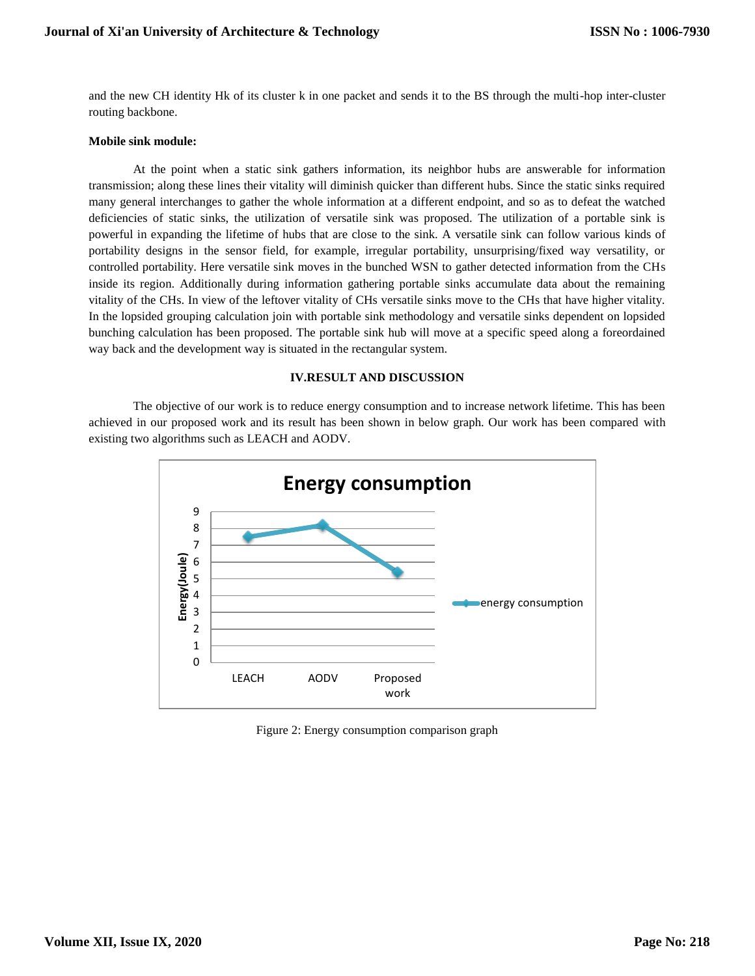and the new CH identity Hk of its cluster k in one packet and sends it to the BS through the multi-hop inter-cluster routing backbone.

## **Mobile sink module:**

At the point when a static sink gathers information, its neighbor hubs are answerable for information transmission; along these lines their vitality will diminish quicker than different hubs. Since the static sinks required many general interchanges to gather the whole information at a different endpoint, and so as to defeat the watched deficiencies of static sinks, the utilization of versatile sink was proposed. The utilization of a portable sink is powerful in expanding the lifetime of hubs that are close to the sink. A versatile sink can follow various kinds of portability designs in the sensor field, for example, irregular portability, unsurprising/fixed way versatility, or controlled portability. Here versatile sink moves in the bunched WSN to gather detected information from the CHs inside its region. Additionally during information gathering portable sinks accumulate data about the remaining vitality of the CHs. In view of the leftover vitality of CHs versatile sinks move to the CHs that have higher vitality. In the lopsided grouping calculation join with portable sink methodology and versatile sinks dependent on lopsided bunching calculation has been proposed. The portable sink hub will move at a specific speed along a foreordained way back and the development way is situated in the rectangular system.

#### **IV.RESULT AND DISCUSSION**

The objective of our work is to reduce energy consumption and to increase network lifetime. This has been achieved in our proposed work and its result has been shown in below graph. Our work has been compared with existing two algorithms such as LEACH and AODV.



Figure 2: Energy consumption comparison graph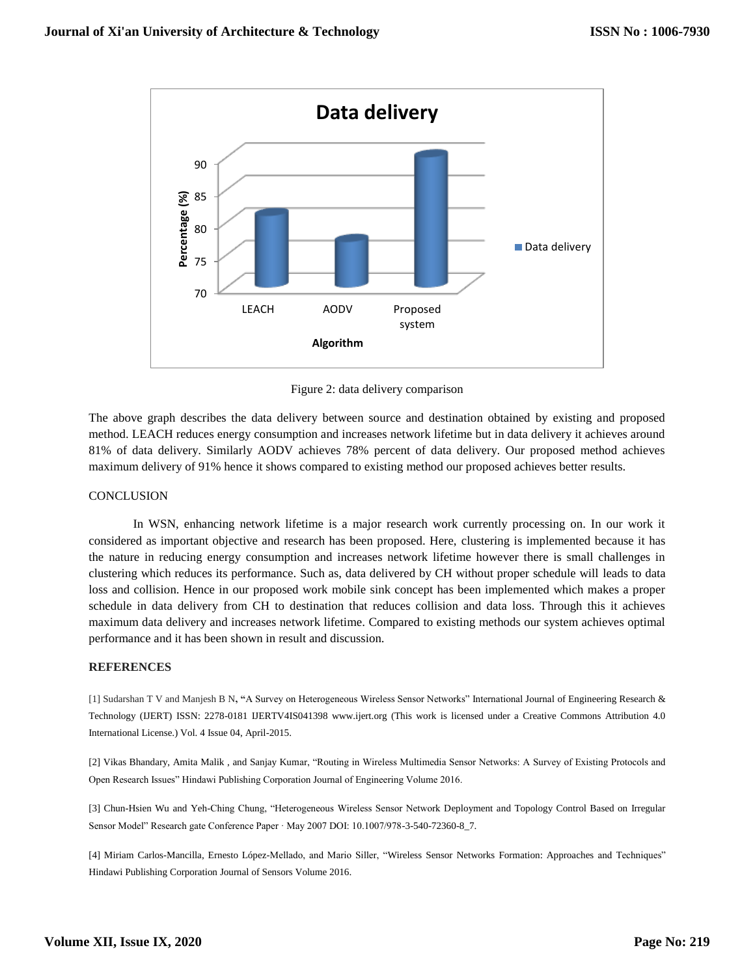

Figure 2: data delivery comparison

The above graph describes the data delivery between source and destination obtained by existing and proposed method. LEACH reduces energy consumption and increases network lifetime but in data delivery it achieves around 81% of data delivery. Similarly AODV achieves 78% percent of data delivery. Our proposed method achieves maximum delivery of 91% hence it shows compared to existing method our proposed achieves better results.

# **CONCLUSION**

In WSN, enhancing network lifetime is a major research work currently processing on. In our work it considered as important objective and research has been proposed. Here, clustering is implemented because it has the nature in reducing energy consumption and increases network lifetime however there is small challenges in clustering which reduces its performance. Such as, data delivered by CH without proper schedule will leads to data loss and collision. Hence in our proposed work mobile sink concept has been implemented which makes a proper schedule in data delivery from CH to destination that reduces collision and data loss. Through this it achieves maximum data delivery and increases network lifetime. Compared to existing methods our system achieves optimal performance and it has been shown in result and discussion.

#### **REFERENCES**

[1] Sudarshan T V and Manjesh B N**, "**A Survey on Heterogeneous Wireless Sensor Networks" International Journal of Engineering Research & Technology (IJERT) ISSN: 2278-0181 IJERTV4IS041398 www.ijert.org (This work is licensed under a Creative Commons Attribution 4.0 International License.) Vol. 4 Issue 04, April-2015.

[2] Vikas Bhandary, Amita Malik , and Sanjay Kumar, "Routing in Wireless Multimedia Sensor Networks: A Survey of Existing Protocols and Open Research Issues" Hindawi Publishing Corporation Journal of Engineering Volume 2016.

[3] Chun-Hsien Wu and Yeh-Ching Chung, "Heterogeneous Wireless Sensor Network Deployment and Topology Control Based on Irregular Sensor Model" Research gate Conference Paper · May 2007 DOI: 10.1007/978-3-540-72360-8\_7.

[4] Miriam Carlos-Mancilla, Ernesto López-Mellado, and Mario Siller, "Wireless Sensor Networks Formation: Approaches and Techniques" Hindawi Publishing Corporation Journal of Sensors Volume 2016.